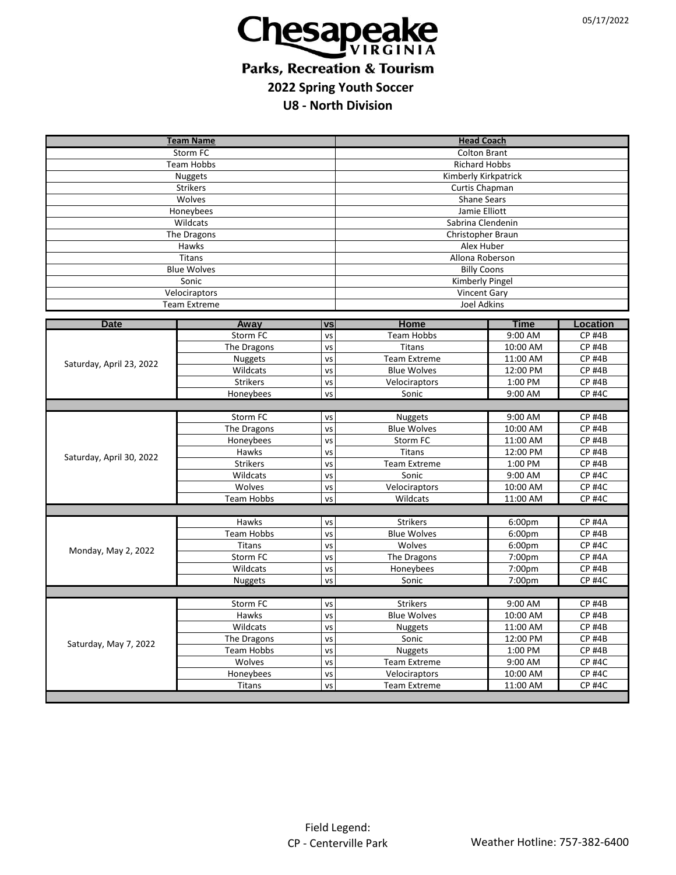

## **Parks, Recreation & Tourism 2022 Spring Youth Soccer**

**U8 - North Division**

| <b>Team Name</b>                     |                      |           | <b>Head Coach</b>                         |                    |                                |  |
|--------------------------------------|----------------------|-----------|-------------------------------------------|--------------------|--------------------------------|--|
| Storm FC                             |                      |           | <b>Colton Brant</b>                       |                    |                                |  |
| Team Hobbs                           |                      |           | <b>Richard Hobbs</b>                      |                    |                                |  |
| <b>Nuggets</b>                       |                      |           | Kimberly Kirkpatrick                      |                    |                                |  |
| <b>Strikers</b>                      |                      |           | Curtis Chapman                            |                    |                                |  |
| Wolves                               |                      |           | <b>Shane Sears</b>                        |                    |                                |  |
| Honeybees                            |                      |           | Jamie Elliott                             |                    |                                |  |
| Wildcats                             |                      |           | Sabrina Clendenin                         |                    |                                |  |
| The Dragons                          |                      |           | Christopher Braun                         |                    |                                |  |
| Hawks                                |                      |           | Alex Huber                                |                    |                                |  |
| <b>Titans</b>                        |                      |           | Allona Roberson                           |                    |                                |  |
| <b>Blue Wolves</b>                   |                      |           | <b>Billy Coons</b>                        |                    |                                |  |
| Sonic                                |                      |           | <b>Kimberly Pingel</b>                    |                    |                                |  |
| Velociraptors<br><b>Team Extreme</b> |                      |           | <b>Vincent Gary</b><br><b>Joel Adkins</b> |                    |                                |  |
|                                      |                      |           |                                           |                    |                                |  |
| <b>Date</b>                          | Away                 | <b>VS</b> | Home                                      | <b>Time</b>        | Location                       |  |
| Saturday, April 23, 2022             | Storm FC             | VS        | <b>Team Hobbs</b>                         | 9:00 AM            | <b>CP #4B</b>                  |  |
|                                      | The Dragons          | VS        | <b>Titans</b>                             | 10:00 AM           | <b>CP #4B</b>                  |  |
|                                      | Nuggets              | VS        | <b>Team Extreme</b>                       | 11:00 AM           | <b>CP #4B</b>                  |  |
|                                      | Wildcats             | VS        | <b>Blue Wolves</b>                        | 12:00 PM           | <b>CP #4B</b>                  |  |
|                                      | <b>Strikers</b>      | VS        | Velociraptors                             | 1:00 PM            | <b>CP #4B</b>                  |  |
|                                      | Honeybees            | VS        | Sonic                                     | 9:00 AM            | <b>CP #4C</b>                  |  |
|                                      |                      |           |                                           |                    |                                |  |
|                                      | Storm FC             | VS        | <b>Nuggets</b>                            | 9:00 AM            | <b>CP #4B</b>                  |  |
| Saturday, April 30, 2022             | The Dragons          | <b>VS</b> | <b>Blue Wolves</b>                        | 10:00 AM           | <b>CP #4B</b>                  |  |
|                                      | Honeybees            | VS        | Storm FC                                  | 11:00 AM           | <b>CP #4B</b>                  |  |
|                                      | Hawks                | VS        | <b>Titans</b><br><b>Team Extreme</b>      | 12:00 PM           | <b>CP #4B</b><br><b>CP #4B</b> |  |
|                                      | Strikers<br>Wildcats | VS<br>VS  | Sonic                                     | 1:00 PM<br>9:00 AM | <b>CP #4C</b>                  |  |
|                                      | Wolves               | VS        | Velociraptors                             | 10:00 AM           | <b>CP #4C</b>                  |  |
|                                      | <b>Team Hobbs</b>    | VS        | Wildcats                                  | 11:00 AM           | <b>CP #4C</b>                  |  |
|                                      |                      |           |                                           |                    |                                |  |
| Monday, May 2, 2022                  | Hawks                | VS        | <b>Strikers</b>                           | 6:00 <sub>pm</sub> | <b>CP #4A</b>                  |  |
|                                      | <b>Team Hobbs</b>    | VS        | <b>Blue Wolves</b>                        | 6:00pm             | <b>CP #4B</b>                  |  |
|                                      | <b>Titans</b>        | VS        | Wolves                                    | 6:00pm             | <b>CP #4C</b>                  |  |
|                                      | Storm FC             | VS        | The Dragons                               | 7:00pm             | <b>CP #4A</b>                  |  |
|                                      | Wildcats             | VS        | Honeybees                                 | 7:00pm             | <b>CP #4B</b>                  |  |
|                                      | <b>Nuggets</b>       | VS        | Sonic                                     | 7:00pm             | <b>CP #4C</b>                  |  |
|                                      |                      |           |                                           |                    |                                |  |
|                                      | Storm FC             | VS        | <b>Strikers</b>                           | 9:00 AM            | <b>CP #4B</b>                  |  |
| Saturday, May 7, 2022                | Hawks                | VS        | <b>Blue Wolves</b>                        | 10:00 AM           | <b>CP #4B</b>                  |  |
|                                      | Wildcats             | VS        | Nuggets                                   | 11:00 AM           | <b>CP #4B</b>                  |  |
|                                      | The Dragons          | VS        | Sonic                                     | 12:00 PM           | <b>CP #4B</b>                  |  |
|                                      | <b>Team Hobbs</b>    | VS        | Nuggets                                   | 1:00 PM            | <b>CP #4B</b>                  |  |
|                                      | Wolves               | VS        | <b>Team Extreme</b>                       | 9:00 AM            | <b>CP #4C</b>                  |  |
|                                      | Honeybees            | VS        | Velociraptors                             | 10:00 AM           | <b>CP #4C</b>                  |  |
|                                      | <b>Titans</b>        | VS        | <b>Team Extreme</b>                       | 11:00 AM           | <b>CP #4C</b>                  |  |